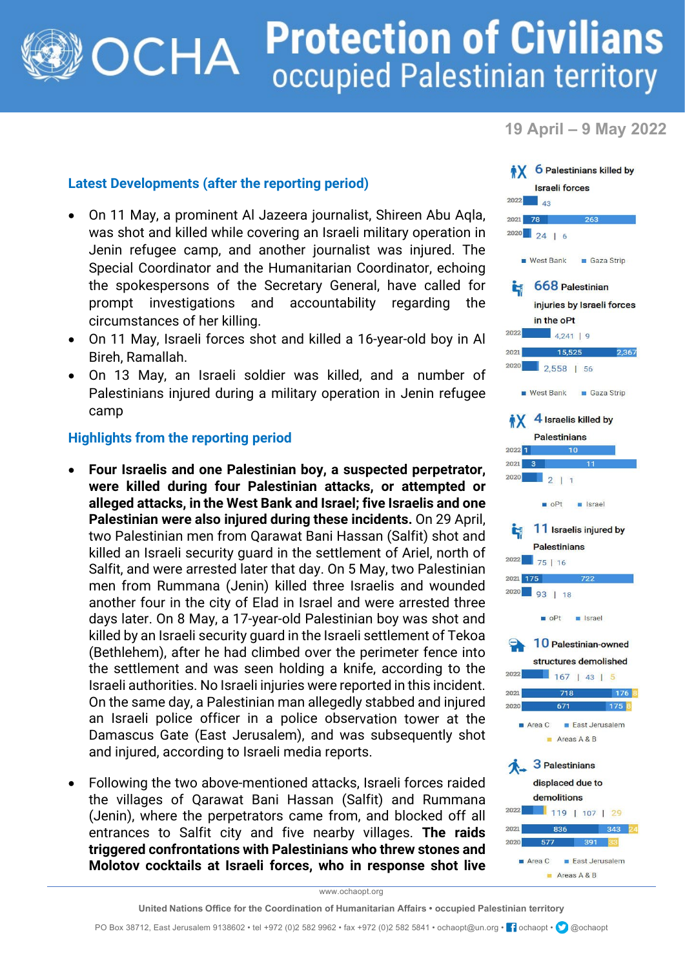## **Protection of Civilians** OCHA occupied Palestinian territory

**19 April – 9 May 2022**

## **Latest Developments (after the reporting period)**

- On 11 May, a prominent Al Jazeera journalist, Shireen Abu Aqla, was shot and killed while covering an Israeli military operation in Jenin refugee camp, and another journalist was injured. The Special Coordinator and the Humanitarian Coordinator, echoing the spokespersons of the Secretary General, have called for prompt investigations and accountability regarding the circumstances of her killing.
- On 11 May, Israeli forces shot and killed a 16-year-old boy in Al Bireh, Ramallah.
- On 13 May, an Israeli soldier was killed, and a number of Palestinians injured during a military operation in Jenin refugee camp

## **Highlights from the reporting period**

- **Four Israelis and one Palestinian boy, a suspected perpetrator, were killed during four Palestinian attacks, or attempted or alleged attacks, in the West Bank and Israel; five Israelis and one Palestinian were also injured during these incidents.** On 29 April, two Palestinian men from Qarawat Bani Hassan (Salfit) shot and killed an Israeli security guard in the settlement of Ariel, north of Salfit, and were arrested later that day. On 5 May, two Palestinian men from Rummana (Jenin) killed three Israelis and wounded another four in the city of Elad in Israel and were arrested three days later. On 8 May, a 17-year-old Palestinian boy was shot and killed by an Israeli security guard in the Israeli settlement of Tekoa (Bethlehem), after he had climbed over the perimeter fence into the settlement and was seen holding a knife, according to the Israeli authorities. No Israeli injuries were reported in this incident. On the same day, a Palestinian man allegedly stabbed and injured an Israeli police officer in a police observation tower at the Damascus Gate (East Jerusalem), and was subsequently shot and injured, according to Israeli media reports.
- Following the two above-mentioned attacks, Israeli forces raided the villages of Qarawat Bani Hassan (Salfit) and Rummana (Jenin), where the perpetrators came from, and blocked off all entrances to Salfit city and five nearby villages. **The raids triggered confrontations with Palestinians who threw stones and Molotov cocktails at Israeli forces, who in response shot live**



www.ochaopt.org

PO Box 38712, East Jerusalem 9138602 • tel +972 (0)2 582 9962 • fax +972 (0)2 582 5841 • ochaopt@un.org • <sup>1</sup> ochaopt • @ @ochaopt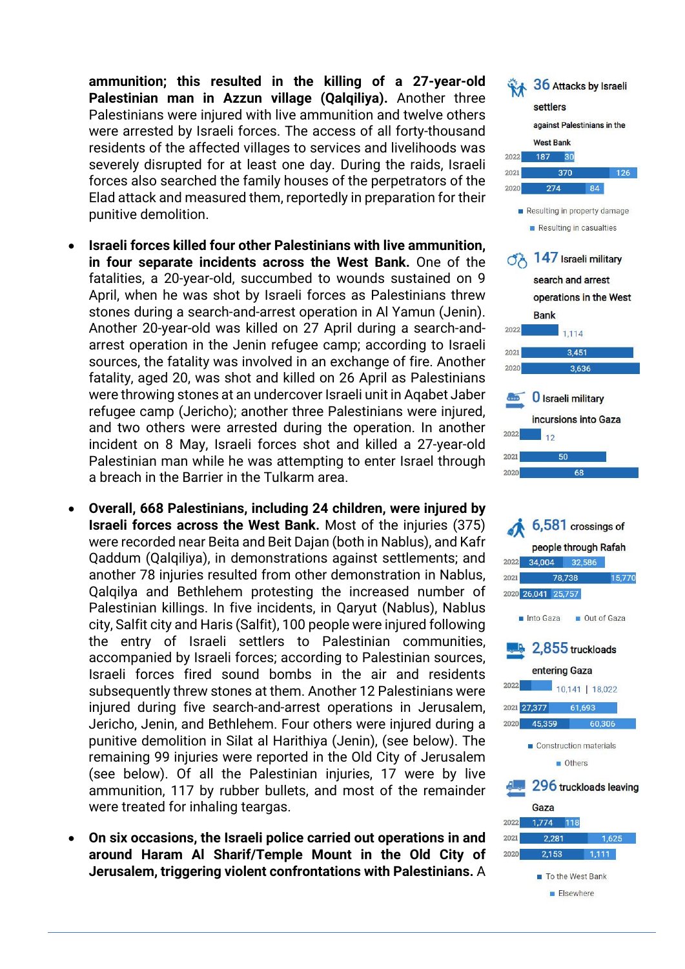**ammunition; this resulted in the killing of a 27-year-old Palestinian man in Azzun village (Qalqiliya).** Another three Palestinians were injured with live ammunition and twelve others were arrested by Israeli forces. The access of all forty-thousand residents of the affected villages to services and livelihoods was severely disrupted for at least one day. During the raids, Israeli forces also searched the family houses of the perpetrators of the Elad attack and measured them, reportedly in preparation for their punitive demolition.

- **Israeli forces killed four other Palestinians with live ammunition, in four separate incidents across the West Bank.** One of the fatalities, a 20-year-old, succumbed to wounds sustained on 9 April, when he was shot by Israeli forces as Palestinians threw stones during a search-and-arrest operation in Al Yamun (Jenin). Another 20-year-old was killed on 27 April during a search-andarrest operation in the Jenin refugee camp; according to Israeli sources, the fatality was involved in an exchange of fire. Another fatality, aged 20, was shot and killed on 26 April as Palestinians were throwing stones at an undercover Israeli unit in Aqabet Jaber refugee camp (Jericho); another three Palestinians were injured, and two others were arrested during the operation. In another incident on 8 May, Israeli forces shot and killed a 27-year-old Palestinian man while he was attempting to enter Israel through a breach in the Barrier in the Tulkarm area.
- **Overall, 668 Palestinians, including 24 children, were injured by Israeli forces across the West Bank.** Most of the injuries (375) were recorded near Beita and Beit Dajan (both in Nablus), and Kafr Qaddum (Qalqiliya), in demonstrations against settlements; and another 78 injuries resulted from other demonstration in Nablus, Qalqilya and Bethlehem protesting the increased number of Palestinian killings. In five incidents, in Qaryut (Nablus), Nablus city, Salfit city and Haris (Salfit), 100 people were injured following the entry of Israeli settlers to Palestinian communities, accompanied by Israeli forces; according to Palestinian sources, Israeli forces fired sound bombs in the air and residents subsequently threw stones at them. Another 12 Palestinians were injured during five search-and-arrest operations in Jerusalem, Jericho, Jenin, and Bethlehem. Four others were injured during a punitive demolition in Silat al Harithiya (Jenin), (see below). The remaining 99 injuries were reported in the Old City of Jerusalem (see below). Of all the Palestinian injuries, 17 were by live ammunition, 117 by rubber bullets, and most of the remainder were treated for inhaling teargas.
- **On six occasions, the Israeli police carried out operations in and around Haram Al Sharif/Temple Mount in the Old City of Jerusalem, triggering violent confrontations with Palestinians.** A



Elsewhere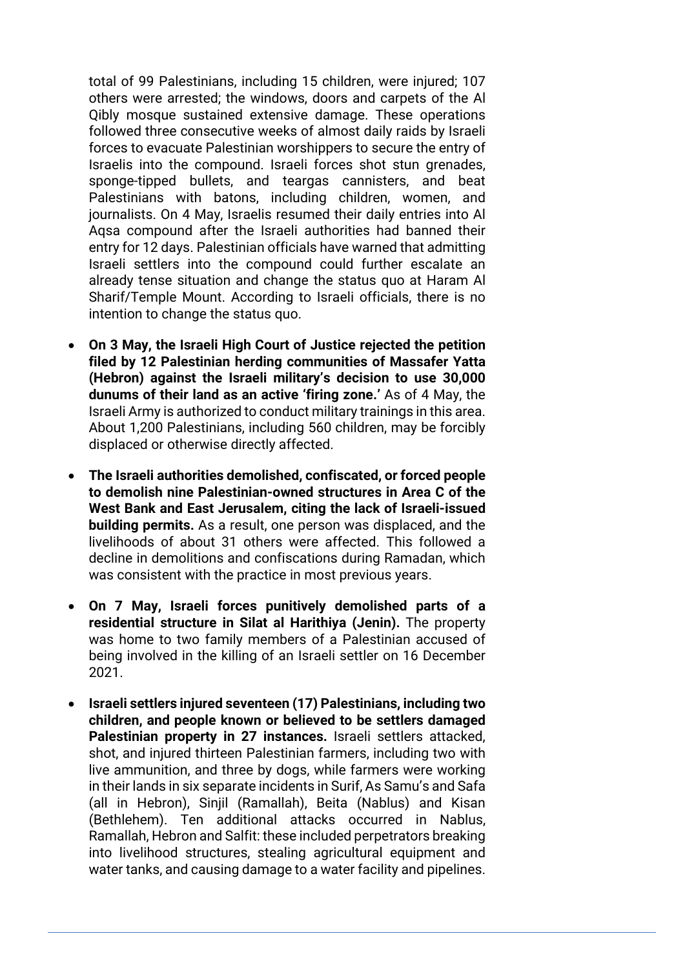total of 99 Palestinians, including 15 children, were injured; 107 others were arrested; the windows, doors and carpets of the Al Qibly mosque sustained extensive damage. These operations followed three consecutive weeks of almost daily raids by Israeli forces to evacuate Palestinian worshippers to secure the entry of Israelis into the compound. Israeli forces shot stun grenades, sponge-tipped bullets, and teargas cannisters, and beat Palestinians with batons, including children, women, and journalists. On 4 May, Israelis resumed their daily entries into Al Aqsa compound after the Israeli authorities had banned their entry for 12 days. Palestinian officials have warned that admitting Israeli settlers into the compound could further escalate an already tense situation and change the status quo at Haram Al Sharif/Temple Mount. According to Israeli officials, there is no intention to change the status quo.

- **On 3 May, the Israeli High Court of Justice rejected the petition filed by 12 Palestinian herding communities of Massafer Yatta (Hebron) against the Israeli military's decision to use 30,000 dunums of their land as an active 'firing zone.'** As of 4 May, the Israeli Army is authorized to conduct military trainings in this area. About 1,200 Palestinians, including 560 children, may be forcibly displaced or otherwise directly affected.
- **The Israeli authorities demolished, confiscated, or forced people to demolish nine Palestinian-owned structures in Area C of the West Bank and East Jerusalem, citing the lack of Israeli-issued building permits.** As a result, one person was displaced, and the livelihoods of about 31 others were affected. This followed a decline in demolitions and confiscations during Ramadan, which was consistent with the practice in most previous years.
- **On 7 May, Israeli forces punitively demolished parts of a residential structure in Silat al Harithiya (Jenin).** The property was home to two family members of a Palestinian accused of being involved in the killing of an Israeli settler on 16 December 2021.
- **Israeli settlers injured seventeen (17) Palestinians, including two children, and people known or believed to be settlers damaged Palestinian property in 27 instances.** Israeli settlers attacked, shot, and injured thirteen Palestinian farmers, including two with live ammunition, and three by dogs, while farmers were working in their lands in six separate incidents in Surif, As Samu's and Safa (all in Hebron), Sinjil (Ramallah), Beita (Nablus) and Kisan (Bethlehem). Ten additional attacks occurred in Nablus, Ramallah, Hebron and Salfit: these included perpetrators breaking into livelihood structures, stealing agricultural equipment and water tanks, and causing damage to a water facility and pipelines.